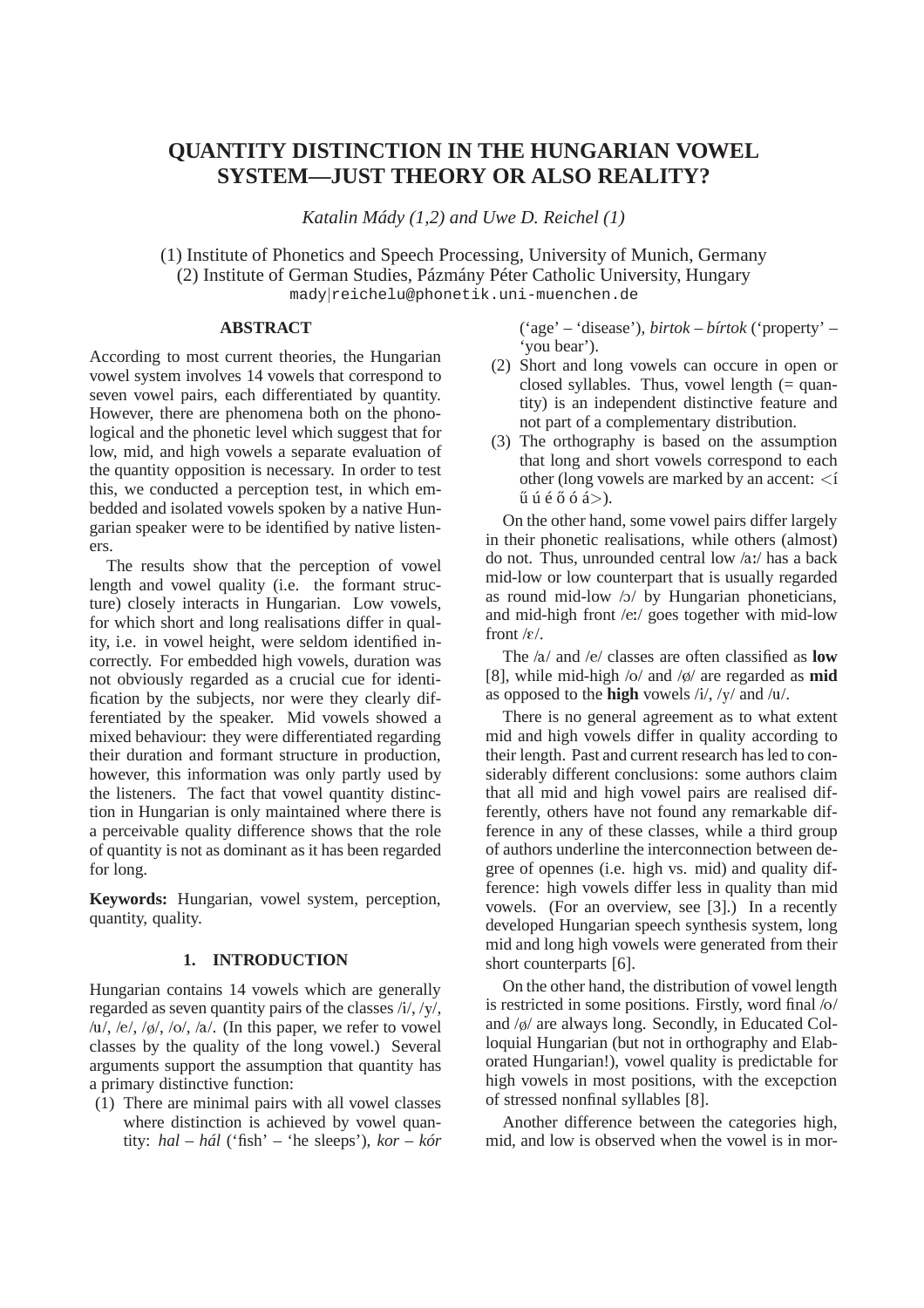# **QUANTITY DISTINCTION IN THE HUNGARIAN VOWEL SYSTEM—JUST THEORY OR ALSO REALITY?**

*Katalin Mády (1,2) and Uwe D. Reichel (1)*

(1) Institute of Phonetics and Speech Processing, University of Munich, Germany (2) Institute of German Studies, Pázmány Péter Catholic University, Hungary mady|reichelu@phonetik.uni-muenchen.de

# **ABSTRACT**

According to most current theories, the Hungarian vowel system involves 14 vowels that correspond to seven vowel pairs, each differentiated by quantity. However, there are phenomena both on the phonological and the phonetic level which suggest that for low, mid, and high vowels a separate evaluation of the quantity opposition is necessary. In order to test this, we conducted a perception test, in which embedded and isolated vowels spoken by a native Hungarian speaker were to be identified by native listeners.

The results show that the perception of vowel length and vowel quality (i.e. the formant structure) closely interacts in Hungarian. Low vowels, for which short and long realisations differ in quality, i.e. in vowel height, were seldom identified incorrectly. For embedded high vowels, duration was not obviously regarded as a crucial cue for identification by the subjects, nor were they clearly differentiated by the speaker. Mid vowels showed a mixed behaviour: they were differentiated regarding their duration and formant structure in production, however, this information was only partly used by the listeners. The fact that vowel quantity distinction in Hungarian is only maintained where there is a perceivable quality difference shows that the role of quantity is not as dominant as it has been regarded for long.

**Keywords:** Hungarian, vowel system, perception, quantity, quality.

# **1. INTRODUCTION**

Hungarian contains 14 vowels which are generally regarded as seven quantity pairs of the classes /i/, /y/, /u/, /e/, / $\phi$ /, /o/, /a/. (In this paper, we refer to vowel classes by the quality of the long vowel.) Several arguments support the assumption that quantity has a primary distinctive function:

(1) There are minimal pairs with all vowel classes where distinction is achieved by vowel quantity: *hal – hál* ('fish' – 'he sleeps'), *kor – kór* ('age' – 'disease'), *birtok – bírtok* ('property' – 'you bear').

- (2) Short and long vowels can occure in open or closed syllables. Thus, vowel length (= quantity) is an independent distinctive feature and not part of a complementary distribution.
- (3) The orthography is based on the assumption that long and short vowels correspond to each other (long vowels are marked by an accent: <í  $\tilde{u}$   $\tilde{u}$   $\tilde{e}$   $\tilde{\alpha}$   $\tilde{\alpha}$   $\tilde{\alpha}$   $>$   $\tilde{\alpha}$ .

On the other hand, some vowel pairs differ largely in their phonetic realisations, while others (almost) do not. Thus, unrounded central low /a:/ has a back mid-low or low counterpart that is usually regarded as round mid-low  $y / y$  by Hungarian phoneticians, and mid-high front /e:/ goes together with mid-low front  $/\epsilon$ .

The /a/ and /e/ classes are often classified as **low** [8], while mid-high /o/ and /ø/ are regarded as **mid** as opposed to the **high** vowels /i/, /y/ and /u/.

There is no general agreement as to what extent mid and high vowels differ in quality according to their length. Past and current research has led to considerably different conclusions: some authors claim that all mid and high vowel pairs are realised differently, others have not found any remarkable difference in any of these classes, while a third group of authors underline the interconnection between degree of opennes (i.e. high vs. mid) and quality difference: high vowels differ less in quality than mid vowels. (For an overview, see [3].) In a recently developed Hungarian speech synthesis system, long mid and long high vowels were generated from their short counterparts [6].

On the other hand, the distribution of vowel length is restricted in some positions. Firstly, word final /o/ and /ø/ are always long. Secondly, in Educated Colloquial Hungarian (but not in orthography and Elaborated Hungarian!), vowel quality is predictable for high vowels in most positions, with the excepction of stressed nonfinal syllables [8].

Another difference between the categories high, mid, and low is observed when the vowel is in mor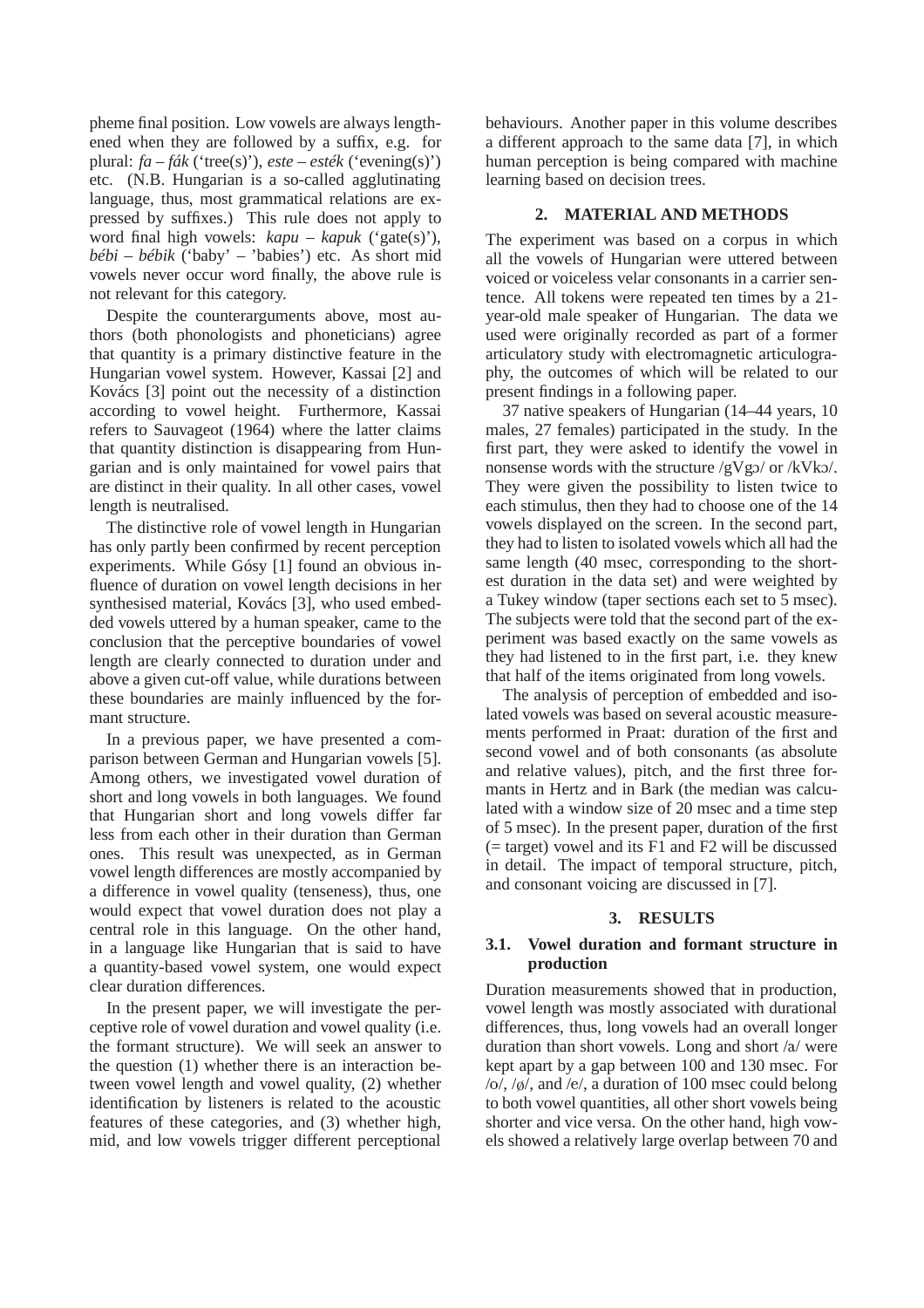pheme final position. Low vowels are always lengthened when they are followed by a suffix, e.g. for plural: *fa – fák* ('tree(s)'), *este – esték* ('evening(s)') etc. (N.B. Hungarian is a so-called agglutinating language, thus, most grammatical relations are expressed by suffixes.) This rule does not apply to word final high vowels: *kapu – kapuk* ('gate(s)'), *bébi – bébik* ('baby' – 'babies') etc. As short mid vowels never occur word finally, the above rule is not relevant for this category.

Despite the counterarguments above, most authors (both phonologists and phoneticians) agree that quantity is a primary distinctive feature in the Hungarian vowel system. However, Kassai [2] and Kovács [3] point out the necessity of a distinction according to vowel height. Furthermore, Kassai refers to Sauvageot (1964) where the latter claims that quantity distinction is disappearing from Hungarian and is only maintained for vowel pairs that are distinct in their quality. In all other cases, vowel length is neutralised.

The distinctive role of vowel length in Hungarian has only partly been confirmed by recent perception experiments. While Gósy [1] found an obvious influence of duration on vowel length decisions in her synthesised material, Kovács [3], who used embedded vowels uttered by a human speaker, came to the conclusion that the perceptive boundaries of vowel length are clearly connected to duration under and above a given cut-off value, while durations between these boundaries are mainly influenced by the formant structure.

In a previous paper, we have presented a comparison between German and Hungarian vowels [5]. Among others, we investigated vowel duration of short and long vowels in both languages. We found that Hungarian short and long vowels differ far less from each other in their duration than German ones. This result was unexpected, as in German vowel length differences are mostly accompanied by a difference in vowel quality (tenseness), thus, one would expect that vowel duration does not play a central role in this language. On the other hand, in a language like Hungarian that is said to have a quantity-based vowel system, one would expect clear duration differences.

In the present paper, we will investigate the perceptive role of vowel duration and vowel quality (i.e. the formant structure). We will seek an answer to the question (1) whether there is an interaction between vowel length and vowel quality, (2) whether identification by listeners is related to the acoustic features of these categories, and (3) whether high, mid, and low vowels trigger different perceptional behaviours. Another paper in this volume describes a different approach to the same data [7], in which human perception is being compared with machine learning based on decision trees.

## **2. MATERIAL AND METHODS**

The experiment was based on a corpus in which all the vowels of Hungarian were uttered between voiced or voiceless velar consonants in a carrier sentence. All tokens were repeated ten times by a 21 year-old male speaker of Hungarian. The data we used were originally recorded as part of a former articulatory study with electromagnetic articulography, the outcomes of which will be related to our present findings in a following paper.

37 native speakers of Hungarian (14–44 years, 10 males, 27 females) participated in the study. In the first part, they were asked to identify the vowel in nonsense words with the structure  $/gVgO$  or  $/kVkO$ . They were given the possibility to listen twice to each stimulus, then they had to choose one of the 14 vowels displayed on the screen. In the second part, they had to listen to isolated vowels which all had the same length (40 msec, corresponding to the shortest duration in the data set) and were weighted by a Tukey window (taper sections each set to 5 msec). The subjects were told that the second part of the experiment was based exactly on the same vowels as they had listened to in the first part, i.e. they knew that half of the items originated from long vowels.

The analysis of perception of embedded and isolated vowels was based on several acoustic measurements performed in Praat: duration of the first and second vowel and of both consonants (as absolute and relative values), pitch, and the first three formants in Hertz and in Bark (the median was calculated with a window size of 20 msec and a time step of 5 msec). In the present paper, duration of the first (= target) vowel and its F1 and F2 will be discussed in detail. The impact of temporal structure, pitch, and consonant voicing are discussed in [7].

## **3. RESULTS**

# **3.1. Vowel duration and formant structure in production**

Duration measurements showed that in production, vowel length was mostly associated with durational differences, thus, long vowels had an overall longer duration than short vowels. Long and short /a/ were kept apart by a gap between 100 and 130 msec. For /o/, /ø/, and /e/, a duration of 100 msec could belong to both vowel quantities, all other short vowels being shorter and vice versa. On the other hand, high vowels showed a relatively large overlap between 70 and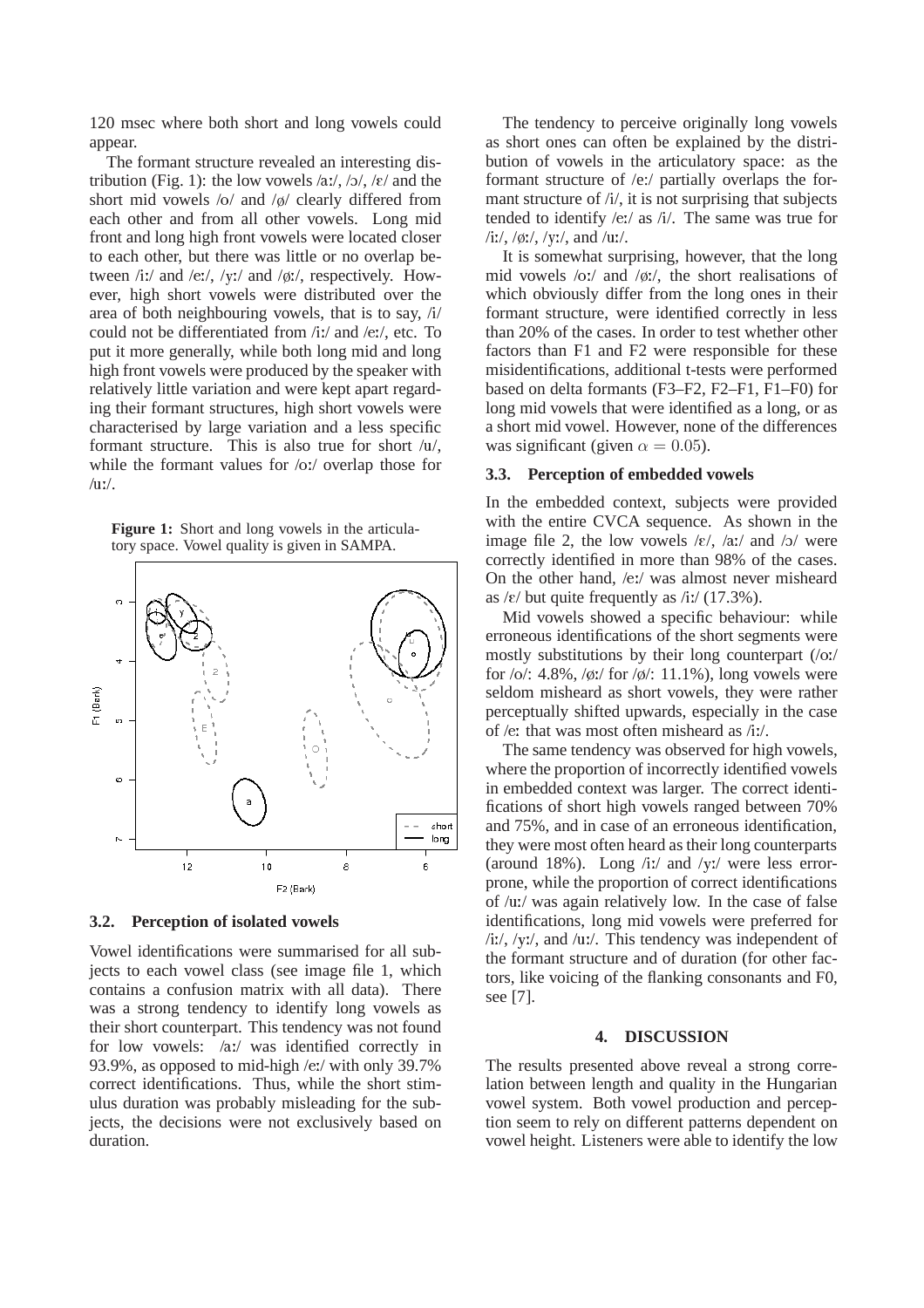120 msec where both short and long vowels could appear.

The formant structure revealed an interesting distribution (Fig. 1): the low vowels  $\langle a x, \langle b \rangle$ ,  $\langle \varepsilon \rangle$  and the short mid vowels /o/ and /ø/ clearly differed from each other and from all other vowels. Long mid front and long high front vowels were located closer to each other, but there was little or no overlap between /i:/ and /e:/, /y:/ and /ø:/, respectively. However, high short vowels were distributed over the area of both neighbouring vowels, that is to say, /i/ could not be differentiated from /i:/ and /e:/, etc. To put it more generally, while both long mid and long high front vowels were produced by the speaker with relatively little variation and were kept apart regarding their formant structures, high short vowels were characterised by large variation and a less specific formant structure. This is also true for short /u/, while the formant values for /o:/ overlap those for  $/$ u: $/$ .

**Figure 1:** Short and long vowels in the articulatory space. Vowel quality is given in SAMPA.



#### **3.2. Perception of isolated vowels**

Vowel identifications were summarised for all subjects to each vowel class (see image file 1, which contains a confusion matrix with all data). There was a strong tendency to identify long vowels as their short counterpart. This tendency was not found for low vowels: /a:/ was identified correctly in 93.9%, as opposed to mid-high /e:/ with only 39.7% correct identifications. Thus, while the short stimulus duration was probably misleading for the subjects, the decisions were not exclusively based on duration.

The tendency to perceive originally long vowels as short ones can often be explained by the distribution of vowels in the articulatory space: as the formant structure of /e:/ partially overlaps the formant structure of /i/, it is not surprising that subjects tended to identify /e:/ as /i/. The same was true for /iː/, /øː/, /yː/, and /uː/.

It is somewhat surprising, however, that the long mid vowels /o:/ and /ø:/, the short realisations of which obviously differ from the long ones in their formant structure, were identified correctly in less than 20% of the cases. In order to test whether other factors than F1 and F2 were responsible for these misidentifications, additional t-tests were performed based on delta formants (F3–F2, F2–F1, F1–F0) for long mid vowels that were identified as a long, or as a short mid vowel. However, none of the differences was significant (given  $\alpha = 0.05$ ).

## **3.3. Perception of embedded vowels**

In the embedded context, subjects were provided with the entire CVCA sequence. As shown in the image file 2, the low vowels  $\frac{\xi}{\xi}$ ,  $\frac{\xi}{\xi}$ , and  $\frac{\xi}{\xi}$  were correctly identified in more than 98% of the cases. On the other hand, /e:/ was almost never misheard as  $\frac{\varepsilon}{12}$  but quite frequently as  $\frac{\varepsilon}{12}$  (17.3%).

Mid vowels showed a specific behaviour: while erroneous identifications of the short segments were mostly substitutions by their long counterpart (/o:/ for  $\sqrt{\frac{6}{1.48\%}}$ ,  $\frac{\sqrt{6}}{1.4\%}$ ; 11.1%), long vowels were seldom misheard as short vowels, they were rather perceptually shifted upwards, especially in the case of /e: that was most often misheard as /i:/.

The same tendency was observed for high vowels, where the proportion of incorrectly identified vowels in embedded context was larger. The correct identifications of short high vowels ranged between 70% and 75%, and in case of an erroneous identification, they were most often heard as their long counterparts (around 18%). Long /i:/ and /y:/ were less errorprone, while the proportion of correct identifications of /u:/ was again relatively low. In the case of false identifications, long mid vowels were preferred for /i:/, /y:/, and /u:/. This tendency was independent of the formant structure and of duration (for other factors, like voicing of the flanking consonants and F0, see [7].

## **4. DISCUSSION**

The results presented above reveal a strong correlation between length and quality in the Hungarian vowel system. Both vowel production and perception seem to rely on different patterns dependent on vowel height. Listeners were able to identify the low